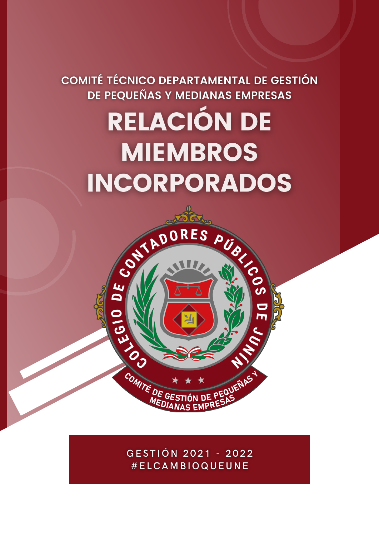# COMITÉ TÉCNICO DEPARTAMENTAL DE GESTIÓN DE PEQUEÑAS Y MEDIANAS EMPRESAS RELACIÓN DE **MIEMBROS** INCORPORADOS

PUS SIG

EQUETIAS

CONTADORES

OLEEN OF

COMITÉ DE G

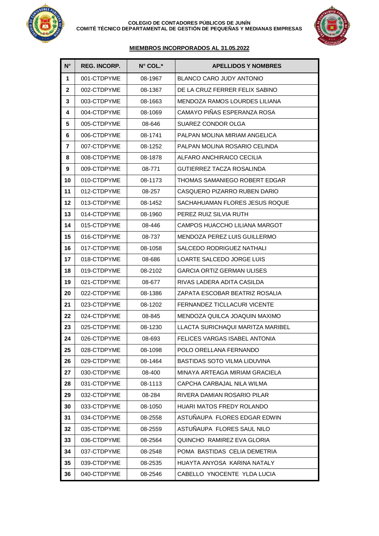



## **MIEMBROS INCORPORADOS AL 31.05.2022**

| N°           | <b>REG. INCORP.</b> | N° COL.* | <b>APELLIDOS Y NOMBRES</b>        |
|--------------|---------------------|----------|-----------------------------------|
| 1            | 001-CTDPYME         | 08-1967  | <b>BLANCO CARO JUDY ANTONIO</b>   |
| $\mathbf{2}$ | 002-CTDPYME         | 08-1367  | DE LA CRUZ FERRER FELIX SABINO    |
| 3            | 003-CTDPYME         | 08-1663  | MENDOZA RAMOS LOURDES LILIANA     |
| 4            | 004-CTDPYME         | 08-1069  | CAMAYO PIÑAS ESPERANZA ROSA       |
| 5            | 005-CTDPYME         | 08-646   | SUAREZ CONDOR OLGA                |
| 6            | 006-CTDPYME         | 08-1741  | PALPAN MOLINA MIRIAM ANGELICA     |
| 7            | 007-CTDPYME         | 08-1252  | PALPAN MOLINA ROSARIO CELINDA     |
| 8            | 008-CTDPYME         | 08-1878  | ALFARO ANCHIRAICO CECILIA         |
| 9            | 009-CTDPYME         | 08-771   | <b>GUTIERREZ TACZA ROSALINDA</b>  |
| 10           | 010-CTDPYME         | 08-1173  | THOMAS SAMANIEGO ROBERT EDGAR     |
| 11           | 012-CTDPYME         | 08-257   | CASQUERO PIZARRO RUBEN DARIO      |
| 12           | 013-CTDPYME         | 08-1452  | SACHAHUAMAN FLORES JESUS ROQUE    |
| 13           | 014-CTDPYME         | 08-1960  | PEREZ RUIZ SILVIA RUTH            |
| 14           | 015-CTDPYME         | 08-446   | CAMPOS HUACCHO LILIANA MARGOT     |
| 15           | 016-CTDPYME         | 08-737   | MENDOZA PEREZ LUIS GUILLERMO      |
| 16           | 017-CTDPYME         | 08-1058  | SALCEDO RODRIGUEZ NATHALI         |
| 17           | 018-CTDPYME         | 08-686   | LOARTE SALCEDO JORGE LUIS         |
| 18           | 019-CTDPYME         | 08-2102  | <b>GARCIA ORTIZ GERMAN ULISES</b> |
| 19           | 021-CTDPYME         | 08-677   | RIVAS LADERA ADITA CASILDA        |
| 20           | 022-CTDPYME         | 08-1386  | ZAPATA ESCOBAR BEATRIZ ROSALIA    |
| 21           | 023-CTDPYME         | 08-1202  | FERNANDEZ TICLLACURI VICENTE      |
| 22           | 024-CTDPYME         | 08-845   | MENDOZA QUILCA JOAQUIN MAXIMO     |
| 23           | 025-CTDPYME         | 08-1230  | LLACTA SURICHAQUI MARITZA MARIBEL |
| 24           | 026-CTDPYME         | 08-693   | FELICES VARGAS ISABEL ANTONIA     |
| 25           | 028-CTDPYME         | 08-1098  | POLO ORELLANA FERNANDO            |
| 26           | 029-CTDPYME         | 08-1464  | BASTIDAS SOTO VILMA LIDUVINA      |
| 27           | 030-CTDPYME         | 08-400   | MINAYA ARTEAGA MIRIAM GRACIELA    |
| 28           | 031-CTDPYME         | 08-1113  | CAPCHA CARBAJAL NILA WILMA        |
| 29           | 032-CTDPYME         | 08-284   | RIVERA DAMIAN ROSARIO PILAR       |
| 30           | 033-CTDPYME         | 08-1050  | <b>HUARI MATOS FREDY ROLANDO</b>  |
| 31           | 034-CTDPYME         | 08-2558  | ASTUÑAUPA FLORES EDGAR EDWIN      |
| 32           | 035-CTDPYME         | 08-2559  | ASTUÑAUPA FLORES SAUL NILO        |
| 33           | 036-CTDPYME         | 08-2564  | QUINCHO RAMIREZ EVA GLORIA        |
| 34           | 037-CTDPYME         | 08-2548  | POMA BASTIDAS CELIA DEMETRIA      |
| 35           | 039-CTDPYME         | 08-2535  | HUAYTA ANYOSA KARINA NATALY       |
| 36           | 040-CTDPYME         | 08-2546  | CABELLO YNOCENTE YLDA LUCIA       |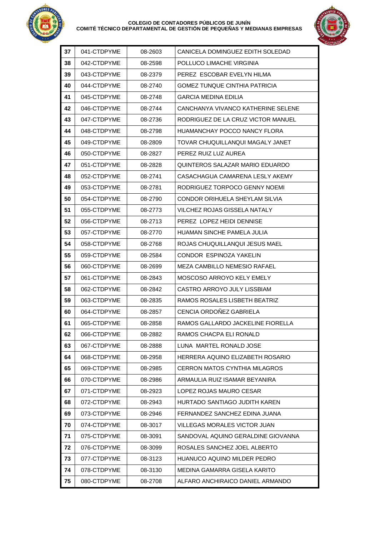

#### **COLEGIO DE CONTADORES PÚBLICOS DE JUNÍN COMITÉ TÉCNICO DEPARTAMENTAL DE GESTIÓN DE PEQUEÑAS Y MEDIANAS EMPRESAS**



| 37 | 041-CTDPYME | 08-2603 | CANICELA DOMINGUEZ EDITH SOLEDAD     |
|----|-------------|---------|--------------------------------------|
| 38 | 042-CTDPYME | 08-2598 | POLLUCO LIMACHE VIRGINIA             |
| 39 | 043-CTDPYME | 08-2379 | PEREZ ESCOBAR EVELYN HILMA           |
| 40 | 044-CTDPYME | 08-2740 | GOMEZ TUNQUE CINTHIA PATRICIA        |
| 41 | 045-CTDPYME | 08-2748 | GARCIA MEDINA EDILIA                 |
| 42 | 046-CTDPYME | 08-2744 | CANCHANYA VIVANCO KATHERINE SELENE   |
| 43 | 047-CTDPYME | 08-2736 | RODRIGUEZ DE LA CRUZ VICTOR MANUEL   |
| 44 | 048-CTDPYME | 08-2798 | HUAMANCHAY POCCO NANCY FLORA         |
| 45 | 049-CTDPYME | 08-2809 | TOVAR CHUQUILLANQUI MAGALY JANET     |
| 46 | 050-CTDPYME | 08-2827 | PEREZ RUIZ LUZ AUREA                 |
| 47 | 051-CTDPYME | 08-2828 | QUINTEROS SALAZAR MARIO EDUARDO      |
| 48 | 052-CTDPYME | 08-2741 | CASACHAGUA CAMARENA LESLY AKEMY      |
| 49 | 053-CTDPYME | 08-2781 | RODRIGUEZ TORPOCO GENNY NOEMI        |
| 50 | 054-CTDPYME | 08-2790 | CONDOR ORIHUELA SHEYLAM SILVIA       |
| 51 | 055-CTDPYME | 08-2773 | VILCHEZ ROJAS GISSELA NATALY         |
| 52 | 056-CTDPYME | 08-2713 | PEREZ LOPEZ HEIDI DENNISE            |
| 53 | 057-CTDPYME | 08-2770 | HUAMAN SINCHE PAMELA JULIA           |
| 54 | 058-CTDPYME | 08-2768 | ROJAS CHUQUILLANQUI JESUS MAEL       |
| 55 | 059-CTDPYME | 08-2584 | CONDOR ESPINOZA YAKELIN              |
| 56 | 060-CTDPYME | 08-2699 | MEZA CAMBILLO NEMESIO RAFAEL         |
| 57 | 061-CTDPYME | 08-2843 | MOSCOSO ARROYO KELY EMELY            |
| 58 | 062-CTDPYME | 08-2842 | CASTRO ARROYO JULY LISSBIAM          |
| 59 | 063-CTDPYME | 08-2835 | RAMOS ROSALES LISBETH BEATRIZ        |
| 60 | 064-CTDPYME | 08-2857 | CENCIA ORDOÑEZ GABRIELA              |
| 61 | 065-CTDPYME | 08-2858 | RAMOS GALLARDO JACKELINE FIORELLA    |
| 62 | 066-CTDPYME | 08-2882 | RAMOS CHACPA ELI RONALD              |
| 63 | 067-CTDPYME | 08-2888 | LUNA MARTEL RONALD JOSE              |
| 64 | 068-CTDPYME | 08-2958 | HERRERA AQUINO ELIZABETH ROSARIO     |
| 65 | 069-CTDPYME | 08-2985 | <b>CERRON MATOS CYNTHIA MILAGROS</b> |
| 66 | 070-CTDPYME | 08-2986 | ARMAULIA RUIZ ISAMAR BEYANIRA        |
| 67 | 071-CTDPYME | 08-2923 | LOPEZ ROJAS MAURO CESAR              |
| 68 | 072-CTDPYME | 08-2943 | HURTADO SANTIAGO JUDITH KAREN        |
| 69 | 073-CTDPYME | 08-2946 | FERNANDEZ SANCHEZ EDINA JUANA        |
| 70 | 074-CTDPYME | 08-3017 | VILLEGAS MORALES VICTOR JUAN         |
| 71 | 075-CTDPYME | 08-3091 | SANDOVAL AQUINO GERALDINE GIOVANNA   |
| 72 | 076-CTDPYME | 08-3099 | ROSALES SANCHEZ JOEL ALBERTO         |
| 73 | 077-CTDPYME | 08-3123 | HUANUCO AQUINO MILDER PEDRO          |
| 74 | 078-CTDPYME | 08-3130 | MEDINA GAMARRA GISELA KARITO         |
| 75 | 080-CTDPYME | 08-2708 | ALFARO ANCHIRAICO DANIEL ARMANDO     |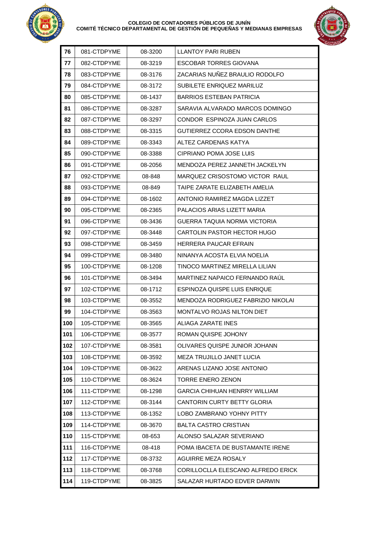

#### **COLEGIO DE CONTADORES PÚBLICOS DE JUNÍN COMITÉ TÉCNICO DEPARTAMENTAL DE GESTIÓN DE PEQUEÑAS Y MEDIANAS EMPRESAS**



| 76  | 081-CTDPYME | 08-3200 | <b>LLANTOY PARI RUBEN</b>            |
|-----|-------------|---------|--------------------------------------|
| 77  | 082-CTDPYME | 08-3219 | <b>ESCOBAR TORRES GIOVANA</b>        |
| 78  | 083-CTDPYME | 08-3176 | ZACARIAS NUÑEZ BRAULIO RODOLFO       |
| 79  | 084-CTDPYME | 08-3172 | SUBILETE ENRIQUEZ MARILUZ            |
| 80  | 085-CTDPYME | 08-1437 | BARRIOS ESTEBAN PATRICIA             |
| 81  | 086-CTDPYME | 08-3287 | SARAVIA ALVARADO MARCOS DOMINGO      |
| 82  | 087-CTDPYME | 08-3297 | CONDOR ESPINOZA JUAN CARLOS          |
| 83  | 088-CTDPYME | 08-3315 | GUTIERREZ CCORA EDSON DANTHE         |
| 84  | 089-CTDPYME | 08-3343 | ALTEZ CARDENAS KATYA                 |
| 85  | 090-CTDPYME | 08-3388 | CIPRIANO POMA JOSE LUIS              |
| 86  | 091-CTDPYME | 08-2056 | MENDOZA PEREZ JANNETH JACKELYN       |
| 87  | 092-CTDPYME | 08-848  | MARQUEZ CRISOSTOMO VICTOR RAUL       |
| 88  | 093-CTDPYME | 08-849  | TAIPE ZARATE ELIZABETH AMELIA        |
| 89  | 094-CTDPYME | 08-1602 | ANTONIO RAMIREZ MAGDA LIZZET         |
| 90  | 095-CTDPYME | 08-2365 | PALACIOS ARIAS LIZETT MARIA          |
| 91  | 096-CTDPYME | 08-3436 | GUERRA TAQUIA NORMA VICTORIA         |
| 92  | 097-CTDPYME | 08-3448 | CARTOLIN PASTOR HECTOR HUGO          |
| 93  | 098-CTDPYME | 08-3459 | HERRERA PAUCAR EFRAIN                |
| 94  | 099-CTDPYME | 08-3480 | NINANYA ACOSTA ELVIA NOELIA          |
| 95  | 100-CTDPYME | 08-1208 | TINOCO MARTINEZ MIRELLA LILIAN       |
| 96  | 101-CTDPYME | 08-3494 | MARTINEZ NAPAICO FERNANDO RAUL       |
| 97  | 102-CTDPYME | 08-1712 | ESPINOZA QUISPE LUIS ENRIQUE         |
| 98  | 103-CTDPYME | 08-3552 | MENDOZA RODRIGUEZ FABRIZIO NIKOLAI   |
| 99  | 104-CTDPYME | 08-3563 | <b>MONTALVO ROJAS NILTON DIET</b>    |
| 100 | 105-CTDPYME | 08-3565 | ALIAGA ZARATE INES                   |
| 101 | 106-CTDPYME | 08-3577 | ROMAN QUISPE JOHONY                  |
| 102 | 107-CTDPYME | 08-3581 | OLIVARES QUISPE JUNIOR JOHANN        |
| 103 | 108-CTDPYME | 08-3592 | MEZA TRUJILLO JANET LUCIA            |
| 104 | 109-CTDPYME | 08-3622 | ARENAS LIZANO JOSE ANTONIO           |
| 105 | 110-CTDPYME | 08-3624 | <b>TORRE ENERO ZENON</b>             |
| 106 | 111-CTDPYME | 08-1298 | <b>GARCIA CHIHUAN HENRRY WILLIAM</b> |
| 107 | 112-CTDPYME | 08-3144 | <b>CANTORIN CURTY BETTY GLORIA</b>   |
| 108 | 113-CTDPYME | 08-1352 | LOBO ZAMBRANO YOHNY PITTY            |
| 109 | 114-CTDPYME | 08-3670 | <b>BALTA CASTRO CRISTIAN</b>         |
| 110 | 115-CTDPYME | 08-653  | ALONSO SALAZAR SEVERIANO             |
| 111 | 116-CTDPYME | 08-418  | POMA IBACETA DE BUSTAMANTE IRENE     |
| 112 | 117-CTDPYME | 08-3732 | AGUIRRE MEZA ROSALY                  |
| 113 | 118-CTDPYME | 08-3768 | CORILLOCLLA ELESCANO ALFREDO ERICK   |
| 114 | 119-CTDPYME | 08-3825 | SALAZAR HURTADO EDVER DARWIN         |